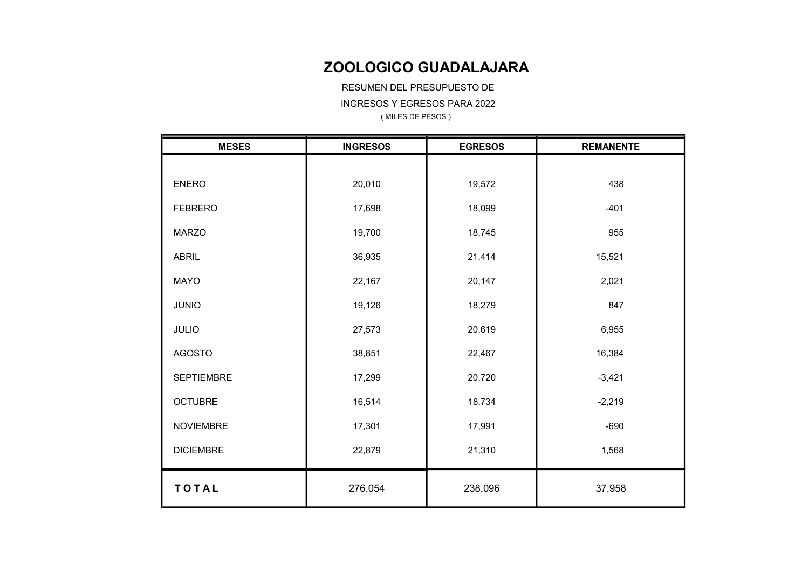RESUMEN DEL PRESUPUESTO DE

INGRESOS Y EGRESOS PARA 2022

| <b>MESES</b>      | <b>INGRESOS</b> | <b>EGRESOS</b> | <b>REMANENTE</b> |  |  |  |  |
|-------------------|-----------------|----------------|------------------|--|--|--|--|
|                   |                 |                |                  |  |  |  |  |
| <b>ENERO</b>      | 20,010          | 19,572         | 438              |  |  |  |  |
| <b>FEBRERO</b>    | 17,698          | 18,099         | $-401$           |  |  |  |  |
| <b>MARZO</b>      | 19,700          | 18,745         | 955              |  |  |  |  |
| <b>ABRIL</b>      | 36,935          | 21,414         | 15,521           |  |  |  |  |
| <b>MAYO</b>       | 22,167          | 20,147         | 2,021            |  |  |  |  |
| <b>JUNIO</b>      | 19,126          | 18,279         | 847              |  |  |  |  |
| <b>JULIO</b>      | 27,573          | 20,619         | 6,955            |  |  |  |  |
| <b>AGOSTO</b>     | 38,851          | 22,467         | 16,384           |  |  |  |  |
| <b>SEPTIEMBRE</b> | 17,299          | 20,720         | $-3,421$         |  |  |  |  |
| <b>OCTUBRE</b>    | 16,514          | 18,734         | $-2,219$         |  |  |  |  |
| <b>NOVIEMBRE</b>  | 17,301          | 17,991         | $-690$           |  |  |  |  |
| <b>DICIEMBRE</b>  | 22,879          | 21,310         | 1,568            |  |  |  |  |
| <b>TOTAL</b>      | 276,054         | 238,096        | 37,958           |  |  |  |  |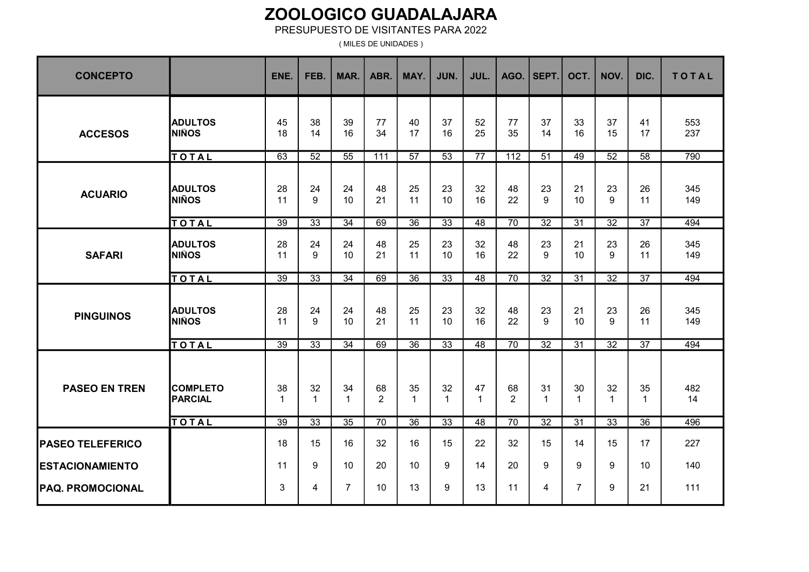#### PRESUPUESTO DE VISITANTES PARA 2022

( MILES DE UNIDADES )

| <b>CONCEPTO</b>                                   |                                   | ENE.                 | FEB.               | MAR.               | ABR.                 | MAY.              | JUN.               | JUL.               | AGO.                 | SEPT.             | OCT.            | NOV.               | DIC.               | <b>TOTAL</b> |
|---------------------------------------------------|-----------------------------------|----------------------|--------------------|--------------------|----------------------|-------------------|--------------------|--------------------|----------------------|-------------------|-----------------|--------------------|--------------------|--------------|
| <b>ACCESOS</b>                                    | <b>ADULTOS</b><br><b>NIÑOS</b>    | 45<br>18             | 38<br>14           | 39<br>16           | 77<br>34             | 40<br>17          | 37<br>16           | 52<br>25           | 77<br>35             | 37<br>14          | 33<br>16        | 37<br>15           | 41<br>17           | 553<br>237   |
|                                                   | TOTAL                             | 63                   | $\overline{52}$    | $\overline{55}$    | 111                  | $\overline{57}$   | $\overline{53}$    | $\overline{77}$    | $\overline{112}$     | 51                | 49              | $\overline{52}$    | $\overline{58}$    | 790          |
| <b>ACUARIO</b>                                    | <b>ADULTOS</b><br><b>NIÑOS</b>    | 28<br>11             | 24<br>$9\,$        | 24<br>10           | 48<br>21             | 25<br>11          | 23<br>10           | 32<br>16           | 48<br>22             | 23<br>9           | 21<br>10        | 23<br>9            | 26<br>11           | 345<br>149   |
|                                                   | TOTAL                             | $\overline{39}$      | $\overline{33}$    | $\overline{34}$    | 69                   | $\overline{36}$   | $\overline{33}$    | $\overline{48}$    | $\overline{70}$      | $\overline{32}$   | $\overline{31}$ | $\overline{32}$    | $\overline{37}$    | 494          |
| <b>SAFARI</b>                                     | <b>ADULTOS</b><br><b>NIÑOS</b>    | 28<br>11             | 24<br>9            | 24<br>10           | 48<br>21             | 25<br>11          | 23<br>10           | 32<br>16           | 48<br>22             | 23<br>9           | 21<br>10        | 23<br>9            | 26<br>11           | 345<br>149   |
|                                                   | <b>TOTAL</b>                      | $\overline{39}$      | $\overline{33}$    | $\overline{34}$    | 69                   | $\overline{36}$   | $\overline{33}$    | 48                 | $\overline{70}$      | $\overline{32}$   | $\overline{31}$ | $\overline{32}$    | $\overline{37}$    | 494          |
| <b>PINGUINOS</b>                                  | <b>ADULTOS</b><br><b>NIÑOS</b>    | 28<br>11             | 24<br>9            | 24<br>10           | 48<br>21             | 25<br>11          | 23<br>10           | 32<br>16           | 48<br>22             | 23<br>9           | 21<br>10        | 23<br>9            | 26<br>11           | 345<br>149   |
|                                                   | TOTAL                             | 39                   | 33                 | 34                 | 69                   | $\overline{36}$   | 33                 | $\overline{48}$    | $\overline{70}$      | $\overline{32}$   | $\overline{31}$ | $\overline{32}$    | $\overline{37}$    | 494          |
| <b>PASEO EN TREN</b>                              | <b>COMPLETO</b><br><b>PARCIAL</b> | 38<br>$\overline{1}$ | 32<br>$\mathbf{1}$ | 34<br>$\mathbf{1}$ | 68<br>$\overline{2}$ | 35<br>$\mathbf 1$ | 32<br>$\mathbf{1}$ | 47<br>$\mathbf{1}$ | 68<br>$\overline{2}$ | 31<br>$\mathbf 1$ | 30<br>1         | 32<br>$\mathbf{1}$ | 35<br>$\mathbf{1}$ | 482<br>14    |
|                                                   | TOTAL                             | 39                   | $\overline{33}$    | $\overline{35}$    | 70                   | $\overline{36}$   | $\overline{33}$    | $\overline{48}$    | $\overline{70}$      | $\overline{32}$   | $\overline{31}$ | $\overline{33}$    | $\overline{36}$    | 496          |
| <b>PASEO TELEFERICO</b>                           |                                   | 18<br>11             | 15<br>9            | 16<br>10           | 32<br>20             | 16<br>10          | 15<br>9            | 22<br>14           | 32<br>20             | 15<br>9           | 14<br>9         | 15<br>9            | 17<br>10           | 227<br>140   |
| <b>ESTACIONAMIENTO</b><br><b>PAQ. PROMOCIONAL</b> |                                   | 3                    | 4                  | $\overline{7}$     | 10                   | 13                | 9                  | 13                 | 11                   | 4                 | 7               | 9                  | 21                 | 111          |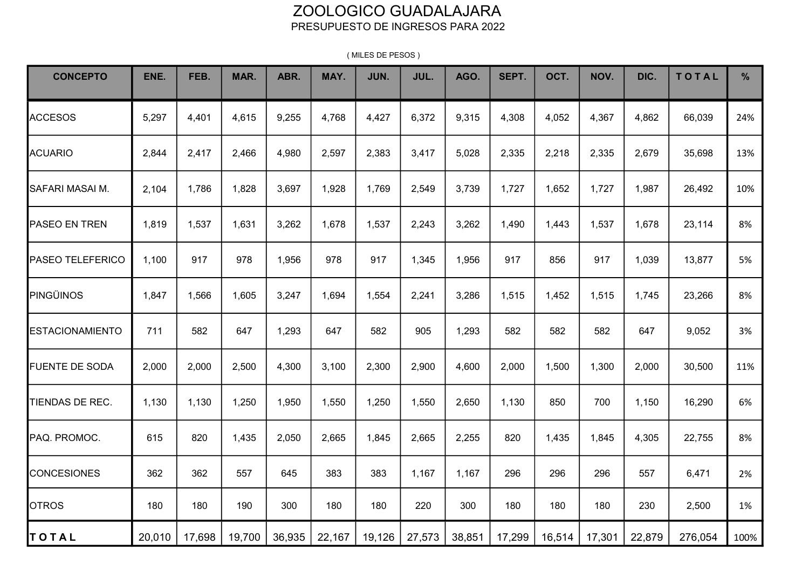#### ZOOLOGICO GUADALAJARA PRESUPUESTO DE INGRESOS PARA 2022

| <b>CONCEPTO</b>         | ENE.   | FEB.   | MAR.   | ABR.   | MAY.   | JUN.   | JUL.   | AGO.   | SEPT.  | OCT.   | NOV.   | DIC.   | TOTAL   | $\frac{9}{6}$ |
|-------------------------|--------|--------|--------|--------|--------|--------|--------|--------|--------|--------|--------|--------|---------|---------------|
| <b>ACCESOS</b>          | 5,297  | 4,401  | 4,615  | 9,255  | 4,768  | 4,427  | 6,372  | 9,315  | 4,308  | 4,052  | 4,367  | 4,862  | 66,039  | 24%           |
| <b>ACUARIO</b>          | 2,844  | 2,417  | 2,466  | 4,980  | 2,597  | 2,383  | 3,417  | 5,028  | 2,335  | 2,218  | 2,335  | 2,679  | 35,698  | 13%           |
| SAFARI MASAI M.         | 2,104  | 1,786  | 1,828  | 3,697  | 1,928  | 1,769  | 2,549  | 3,739  | 1,727  | 1,652  | 1,727  | 1,987  | 26,492  | 10%           |
| <b>PASEO EN TREN</b>    | 1,819  | 1,537  | 1,631  | 3,262  | 1,678  | 1,537  | 2,243  | 3,262  | 1,490  | 1,443  | 1,537  | 1,678  | 23,114  | 8%            |
| <b>PASEO TELEFERICO</b> | 1,100  | 917    | 978    | 1,956  | 978    | 917    | 1,345  | 1,956  | 917    | 856    | 917    | 1,039  | 13,877  | 5%            |
| PINGÜINOS               | 1,847  | 1,566  | 1,605  | 3,247  | 1,694  | 1,554  | 2,241  | 3,286  | 1,515  | 1,452  | 1,515  | 1,745  | 23,266  | 8%            |
| ESTACIONAMIENTO         | 711    | 582    | 647    | 1,293  | 647    | 582    | 905    | 1,293  | 582    | 582    | 582    | 647    | 9,052   | 3%            |
| <b>FUENTE DE SODA</b>   | 2,000  | 2,000  | 2,500  | 4,300  | 3,100  | 2,300  | 2,900  | 4,600  | 2,000  | 1,500  | 1,300  | 2,000  | 30,500  | 11%           |
| TIENDAS DE REC.         | 1,130  | 1,130  | 1,250  | 1,950  | 1,550  | 1,250  | 1,550  | 2,650  | 1,130  | 850    | 700    | 1,150  | 16,290  | 6%            |
| PAQ. PROMOC.            | 615    | 820    | 1,435  | 2,050  | 2,665  | 1,845  | 2,665  | 2,255  | 820    | 1,435  | 1,845  | 4,305  | 22,755  | 8%            |
| <b>CONCESIONES</b>      | 362    | 362    | 557    | 645    | 383    | 383    | 1,167  | 1,167  | 296    | 296    | 296    | 557    | 6,471   | 2%            |
| <b>OTROS</b>            | 180    | 180    | 190    | 300    | 180    | 180    | 220    | 300    | 180    | 180    | 180    | 230    | 2,500   | 1%            |
| <b>TOTAL</b>            | 20,010 | 17,698 | 19,700 | 36,935 | 22,167 | 19,126 | 27,573 | 38,851 | 17,299 | 16,514 | 17,301 | 22,879 | 276,054 | 100%          |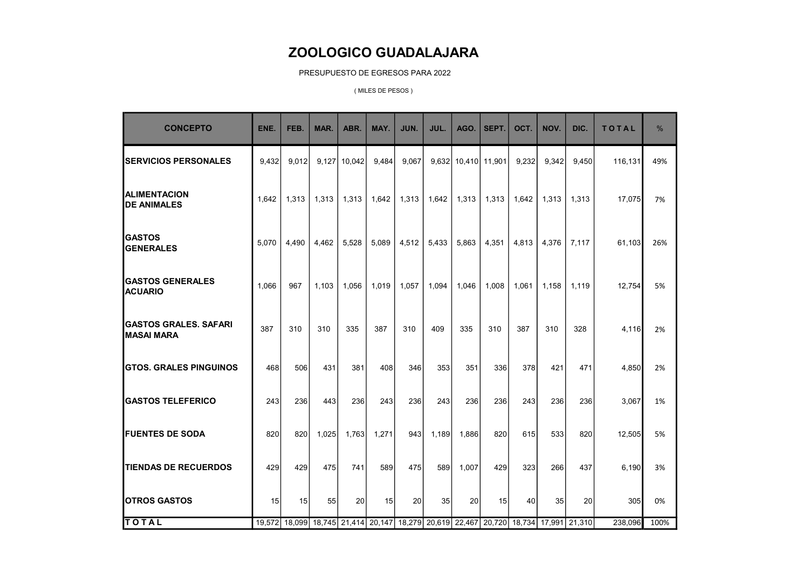PRESUPUESTO DE EGRESOS PARA 2022

| <b>CONCEPTO</b>                                   | ENE.  | FEB.  | MAR.  | ABR.           | MAY.  | JUN.  | JUL.  | AGO.                | SEPT. | OCT.  | NOV.  | DIC.                                                                                | <b>TOTAL</b> | $\frac{0}{0}$ |
|---------------------------------------------------|-------|-------|-------|----------------|-------|-------|-------|---------------------|-------|-------|-------|-------------------------------------------------------------------------------------|--------------|---------------|
| <b>SERVICIOS PERSONALES</b>                       | 9.432 | 9.012 |       | $9,127$ 10,042 | 9,484 | 9,067 |       | 9,632 10,410 11,901 |       | 9,232 | 9.342 | 9,450                                                                               | 116,131      | 49%           |
| <b>ALIMENTACION</b><br><b>DE ANIMALES</b>         | 1.642 | 1.313 | 1.313 | 1.313          | 1.642 | 1.313 | 1.642 | 1.313               | 1.313 | 1.642 | 1.313 | 1.313                                                                               | 17,075       | 7%            |
| <b>GASTOS</b><br><b>GENERALES</b>                 | 5.070 | 4.490 | 4.462 | 5.528          | 5.089 | 4,512 | 5,433 | 5.863               | 4.351 | 4.813 | 4.376 | 7.117                                                                               | 61,103       | 26%           |
| <b>GASTOS GENERALES</b><br><b>ACUARIO</b>         | 1,066 | 967   | 1,103 | 1,056          | 1,019 | 1,057 | 1,094 | 1,046               | 1,008 | 1.061 | 1,158 | 1,119                                                                               | 12,754       | 5%            |
| <b>GASTOS GRALES, SAFARI</b><br><b>MASAI MARA</b> | 387   | 310   | 310   | 335            | 387   | 310   | 409   | 335                 | 310   | 387   | 310   | 328                                                                                 | 4,116        | 2%            |
| <b>GTOS. GRALES PINGUINOS</b>                     | 468   | 506   | 431   | 381            | 408   | 346   | 353   | 351                 | 336   | 378   | 421   | 471                                                                                 | 4,850        | 2%            |
| <b>GASTOS TELEFERICO</b>                          | 243   | 236   | 443   | 236            | 243   | 236   | 243   | 236                 | 236   | 243   | 236   | 236                                                                                 | 3,067        | 1%            |
| <b>FUENTES DE SODA</b>                            | 820   | 820   | 1.025 | 1.763          | 1.271 | 943   | 1,189 | 1.886               | 820   | 615   | 533   | 820                                                                                 | 12,505       | 5%            |
| <b>TIENDAS DE RECUERDOS</b>                       | 429   | 429   | 475   | 741            | 589   | 475   | 589   | 1,007               | 429   | 323   | 266   | 437                                                                                 | 6,190        | 3%            |
| <b>OTROS GASTOS</b>                               | 15    | 15    | 55    | 20             | 15    | 20    | 35    | 20                  | 15    | 40    | 35    | 20                                                                                  | 305          | 0%            |
| <b>TOTAL</b>                                      |       |       |       |                |       |       |       |                     |       |       |       | 19,572 18,099 18,745 21,414 20,147 18,279 20,619 22,467 20,720 18,734 17,991 21,310 | 238,096      | 100%          |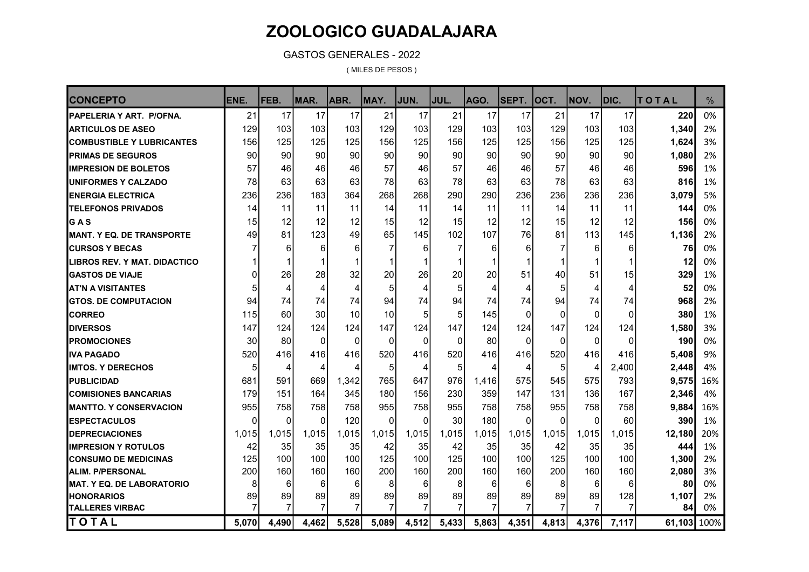GASTOS GENERALES - 2022

| <b>CONCEPTO</b>                   | ENE.     | <b>IFEB.</b> | MAR.                 | ABR.    | MAY.     | JUN.     | JUL.                 | AGO.    | <b>SEPT.</b>         | <b>OCT.</b> | <b>NOV.</b>          | DIC.  | TOTAL       | $\frac{0}{0}$ |
|-----------------------------------|----------|--------------|----------------------|---------|----------|----------|----------------------|---------|----------------------|-------------|----------------------|-------|-------------|---------------|
| PAPELERIA Y ART. P/OFNA.          | 21       | 17           | 17                   | 17      | 21       | 17       | 21                   | 17      | 17                   | 21          | 17                   | 17    | 220         | 0%            |
| <b>ARTICULOS DE ASEO</b>          | 129      | 103          | 103                  | 103     | 129      | 103      | 129                  | 103     | 103                  | 129         | 103                  | 103   | 1,340       | 2%            |
| <b>COMBUSTIBLE Y LUBRICANTES</b>  | 156      | 125          | 125                  | 125     | 156      | 125      | 156                  | 125     | 125                  | 156         | 125                  | 125   | 1,624       | 3%            |
| <b>PRIMAS DE SEGUROS</b>          | 90       | 90           | 90                   | 90      | 90       | 90       | 90                   | 90      | 90                   | 90          | 90                   | 90    | 1,080       | 2%            |
| <b>I</b> IMPRESION DE BOLETOS     | 57       | 46           | 46                   | 46      | 57       | 46       | 57                   | 46      | 46                   | 57          | 46                   | 46    | 596         | 1%            |
| <b>IUNIFORMES Y CALZADO</b>       | 78       | 63           | 63                   | 63      | 78       | 63       | 78                   | 63      | 63                   | 78          | 63                   | 63    | 816         | 1%            |
| <b>IENERGIA ELECTRICA</b>         | 236      | 236          | 183                  | 364     | 268      | 268      | 290                  | 290     | 236                  | 236         | 236                  | 236   | 3,079       | 5%            |
| <b>TELEFONOS PRIVADOS</b>         | 14       | 11           | 11                   | 11      | 14       | 11       | 14                   | 11      | 11                   | 14          | 11                   | 11    | 144         | 0%            |
| IG A S                            | 15       | 12           | 12                   | 12      | 15       | 12       | 15                   | 12      | 12                   | 15          | 12                   | 12    | 156         | 0%            |
| <b>IMANT. Y EQ. DE TRANSPORTE</b> | 49       | 81           | 123                  | 49      | 65       | 145      | 102                  | 107     | 76                   | 81          | 113                  | 145   | 1,136       | 2%            |
| <b>ICURSOS Y BECAS</b>            |          | 6            | 6                    | 6       | 7        | 6        | $\overline{7}$       | 6       | 6                    | 7           | 6                    | 6     | 76          | 0%            |
| ILIBROS REV. Y MAT. DIDACTICO     |          |              | 1                    | 1       |          | 1        | 1                    | 1       | $\mathbf 1$          | 1           | $\mathbf{1}$         | 1     | 12          | 0%            |
| <b>IGASTOS DE VIAJE</b>           | 0        | 26           | 28                   | 32      | 20       | 26       | 20                   | 20      | 51                   | 40          | 51                   | 15    | 329         | 1%            |
| <b>AT'N A VISITANTES</b>          | 5        | 4            | 4                    | 4       | 5        | 4        | 5                    | 4       | 4                    | 5           | $\overline{4}$       | 4     | 52          | 0%            |
| <b>IGTOS. DE COMPUTACION</b>      | 94       | 74           | 74                   | 74      | 94       | 74       | 94                   | 74      | 74                   | 94          | 74                   | 74    | 968         | 2%            |
| <b>ICORREO</b>                    | 115      | 60           | 30                   | 10      | 10       | 5        | 5                    | 145     | $\Omega$             | $\Omega$    | $\Omega$             | 0     | 380         | 1%            |
| <b>IDIVERSOS</b>                  | 147      | 124          | 124                  | 124     | 147      | 124      | 147                  | 124     | 124                  | 147         | 124                  | 124   | 1,580       | 3%            |
| <b>IPROMOCIONES</b>               | 30       | 80           | $\Omega$             | 0       | $\Omega$ | $\Omega$ | $\Omega$             | 80      | $\mathbf{0}$         | $\Omega$    | $\Omega$             | 0     | 190         | 0%            |
| IIVA PAGADO                       | 520      | 416          | 416                  | 416     | 520      | 416      | 520                  | 416     | 416                  | 520         | 416                  | 416   | 5,408       | 9%            |
| <b>IIMTOS. Y DERECHOS</b>         | 5        | 4            | 4                    | 4       | 5        | 4        | 5                    | 4       | 4                    | 5           | 4                    | 2,400 | 2,448       | 4%            |
| <b>I</b> PUBLICIDAD               | 681      | 591          | 669                  | 1,342   | 765      | 647      | 976                  | 1,416   | 575                  | 545         | 575                  | 793   | 9,575       | 16%           |
| <b>ICOMISIONES BANCARIAS</b>      | 179      | 151          | 164                  | 345     | 180      | 156      | 230                  | 359     | 147                  | 131         | 136                  | 167   | 2,346       | 4%            |
| IMANTTO. Y CONSERVACION           | 955      | 758          | 758                  | 758     | 955      | 758      | 955                  | 758     | 758                  | 955         | 758                  | 758   | 9,884       | 16%           |
| <b>ESPECTACULOS</b>               | $\Omega$ | $\Omega$     | $\Omega$             | 120     | $\Omega$ | $\Omega$ | 30                   | 180     | $\Omega$             | $\Omega$    | $\Omega$             | 60    | 390         | 1%            |
| <b>IDEPRECIACIONES</b>            | 1,015    | 1,015        | 1,015                | 1,015   | 1,015    | 1,015    | 1,015                | 1,015   | 1,015                | 1,015       | 1,015                | 1,015 | 12,180      | 20%           |
| <b>IIMPRESION Y ROTULOS</b>       | 42       | 35           | 35                   | 35      | 42       | 35       | 42                   | 35      | 35                   | 42          | 35                   | 35    | 444         | 1%            |
| <b>CONSUMO DE MEDICINAS</b>       | 125      | 100          | 100                  | 100     | 125      | 100      | 125                  | 100     | 100                  | 125         | 100                  | 100   | 1,300       | 2%            |
| <b>ALIM. P/PERSONAL</b>           | 200      | 160          | 160                  | 160     | 200      | 160      | 200                  | 160     | 160                  | 200         | 160                  | 160   | 2,080       | 3%            |
| <b>MAT. Y EQ. DE LABORATORIO</b>  | 8        | 6            | 6                    | 6       | 8        | 6        | 8                    | 6       | 6                    | 8           | 6                    | 6     | 80          | 0%            |
| <b>HONORARIOS</b>                 | 89<br>7  | 89<br>7      | 89<br>$\overline{7}$ | 89<br>7 | 89<br>7  | 89<br>7  | 89<br>$\overline{7}$ | 89<br>7 | 89<br>$\overline{7}$ | 89<br>7     | 89<br>$\overline{7}$ | 128   | 1,107       | 2%            |
| <b>TALLERES VIRBAC</b>            |          |              |                      |         |          |          |                      |         |                      |             |                      | 7     | 84          | 0%            |
| TOTAL                             | 5,070    | 4,490        | 4,462                | 5,528   | 5,089    | 4,512    | 5,433                | 5,863   | 4,351                | 4,813       | 4,376                | 7,117 | 61,103 100% |               |